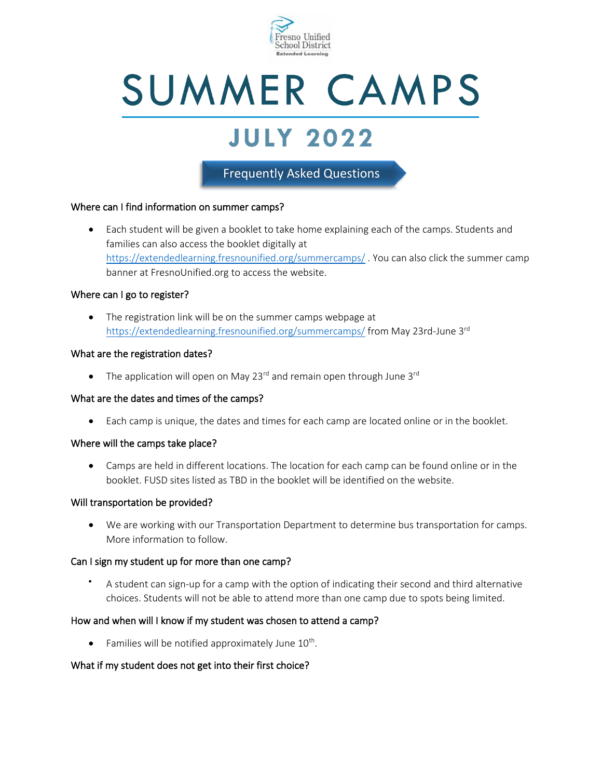

# SUMMER CAMPS

## **JULY 2022**

### Frequently Asked Questions

#### Where can I find information on summer camps?

• Each student will be given a booklet to take home explaining each of the camps. Students and families can also access the booklet digitally at <https://extendedlearning.fresnounified.org/summercamps/> . You can also click the summer camp banner at FresnoUnified.org to access the website.

#### Where can I go to register?

• The registration link will be on the summer camps webpage at <https://extendedlearning.fresnounified.org/summercamps/> from May 23rd-June 3<sup>rd</sup>

#### What are the registration dates?

• The application will open on May 23<sup>rd</sup> and remain open through June 3<sup>rd</sup>

#### What are the dates and times of the camps?

• Each camp is unique, the dates and times for each camp are located online or in the booklet.

#### Where will the camps take place?

• Camps are held in different locations. The location for each camp can be found online or in the booklet. FUSD sites listed as TBD in the booklet will be identified on the website.

#### Will transportation be provided?

• We are working with our Transportation Department to determine bus transportation for camps. More information to follow.

#### Can I sign my student up for more than one camp?

• A student can sign-up for a camp with the option of indicating their second and third alternative choices. Students will not be able to attend more than one camp due to spots being limited.

#### How and when will I know if my student was chosen to attend a camp?

 $\bullet$  Families will be notified approximately June  $10^{th}$ .

#### What if my student does not get into their first choice?